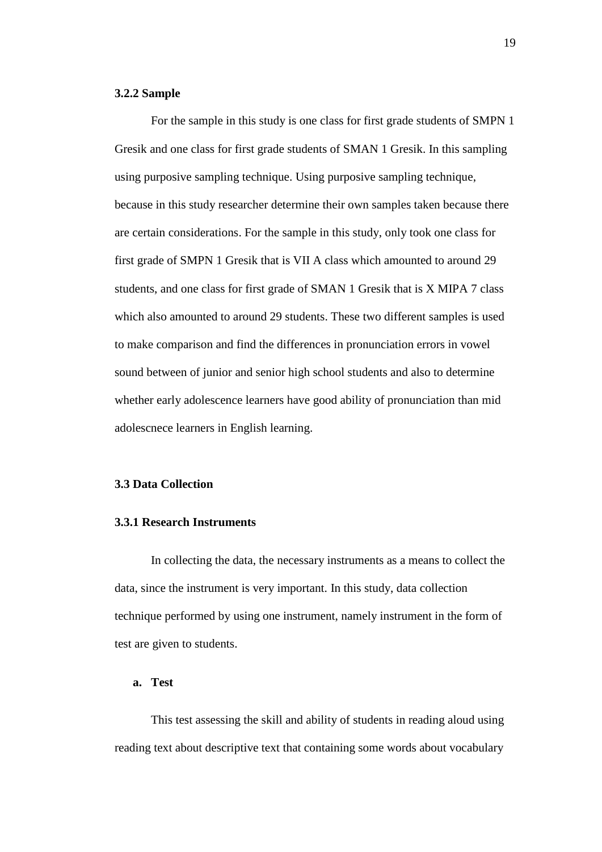### **3.2.2 Sample**

For the sample in this study is one class for first grade students of SMPN 1 Gresik and one class for first grade students of SMAN 1 Gresik. In this sampling using purposive sampling technique. Using purposive sampling technique, because in this study researcher determine their own samples taken because there are certain considerations. For the sample in this study, only took one class for first grade of SMPN 1 Gresik that is VII A class which amounted to around 29 students, and one class for first grade of SMAN 1 Gresik that is X MIPA 7 class which also amounted to around 29 students. These two different samples is used to make comparison and find the differences in pronunciation errors in vowel sound between of junior and senior high school students and also to determine whether early adolescence learners have good ability of pronunciation than mid adolescnece learners in English learning.

## **3.3 Data Collection**

### **3.3.1 Research Instruments**

In collecting the data, the necessary instruments as a means to collect the data, since the instrument is very important. In this study, data collection technique performed by using one instrument, namely instrument in the form of test are given to students.

# **a. Test**

This test assessing the skill and ability of students in reading aloud using reading text about descriptive text that containing some words about vocabulary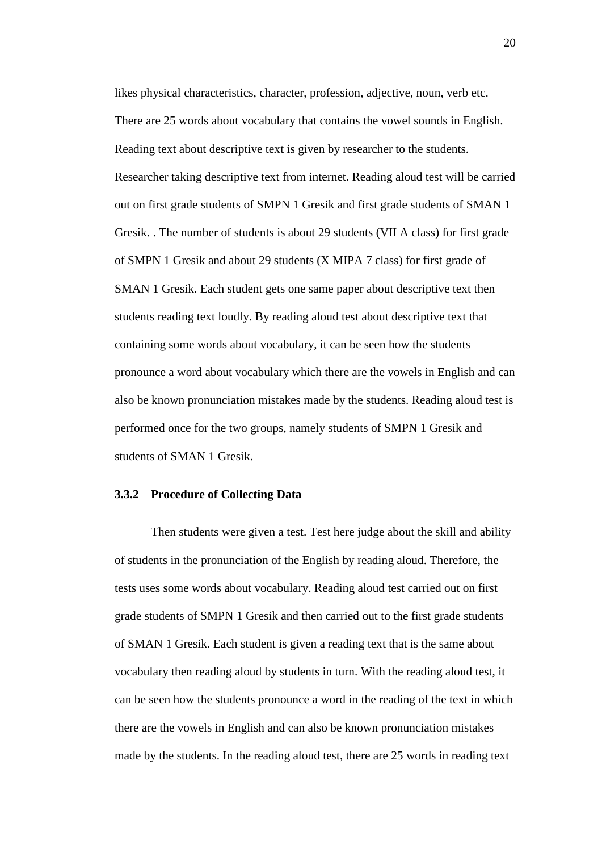likes physical characteristics, character, profession, adjective, noun, verb etc. There are 25 words about vocabulary that contains the vowel sounds in English. Reading text about descriptive text is given by researcher to the students. Researcher taking descriptive text from internet. Reading aloud test will be carried out on first grade students of SMPN 1 Gresik and first grade students of SMAN 1 Gresik. . The number of students is about 29 students (VII A class) for first grade of SMPN 1 Gresik and about 29 students (X MIPA 7 class) for first grade of SMAN 1 Gresik. Each student gets one same paper about descriptive text then students reading text loudly. By reading aloud test about descriptive text that containing some words about vocabulary, it can be seen how the students pronounce a word about vocabulary which there are the vowels in English and can also be known pronunciation mistakes made by the students. Reading aloud test is performed once for the two groups, namely students of SMPN 1 Gresik and students of SMAN 1 Gresik.

### **3.3.2 Procedure of Collecting Data**

Then students were given a test. Test here judge about the skill and ability of students in the pronunciation of the English by reading aloud. Therefore, the tests uses some words about vocabulary. Reading aloud test carried out on first grade students of SMPN 1 Gresik and then carried out to the first grade students of SMAN 1 Gresik. Each student is given a reading text that is the same about vocabulary then reading aloud by students in turn. With the reading aloud test, it can be seen how the students pronounce a word in the reading of the text in which there are the vowels in English and can also be known pronunciation mistakes made by the students. In the reading aloud test, there are 25 words in reading text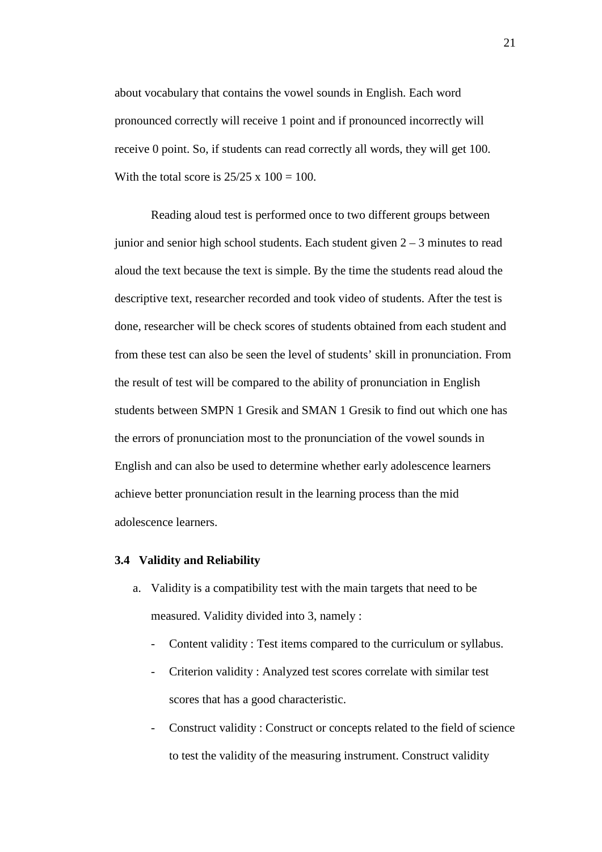about vocabulary that contains the vowel sounds in English. Each word pronounced correctly will receive 1 point and if pronounced incorrectly will receive 0 point. So, if students can read correctly all words, they will get 100. With the total score is  $25/25 \times 100 = 100$ .

Reading aloud test is performed once to two different groups between junior and senior high school students. Each student given  $2 - 3$  minutes to read aloud the text because the text is simple. By the time the students read aloud the descriptive text, researcher recorded and took video of students. After the test is done, researcher will be check scores of students obtained from each student and from these test can also be seen the level of students' skill in pronunciation. From the result of test will be compared to the ability of pronunciation in English students between SMPN 1 Gresik and SMAN 1 Gresik to find out which one has the errors of pronunciation most to the pronunciation of the vowel sounds in English and can also be used to determine whether early adolescence learners achieve better pronunciation result in the learning process than the mid adolescence learners.

### **3.4 Validity and Reliability**

- a. Validity is a compatibility test with the main targets that need to be measured. Validity divided into 3, namely :
	- Content validity : Test items compared to the curriculum or syllabus.
	- Criterion validity : Analyzed test scores correlate with similar test scores that has a good characteristic.
	- Construct validity : Construct or concepts related to the field of science to test the validity of the measuring instrument. Construct validity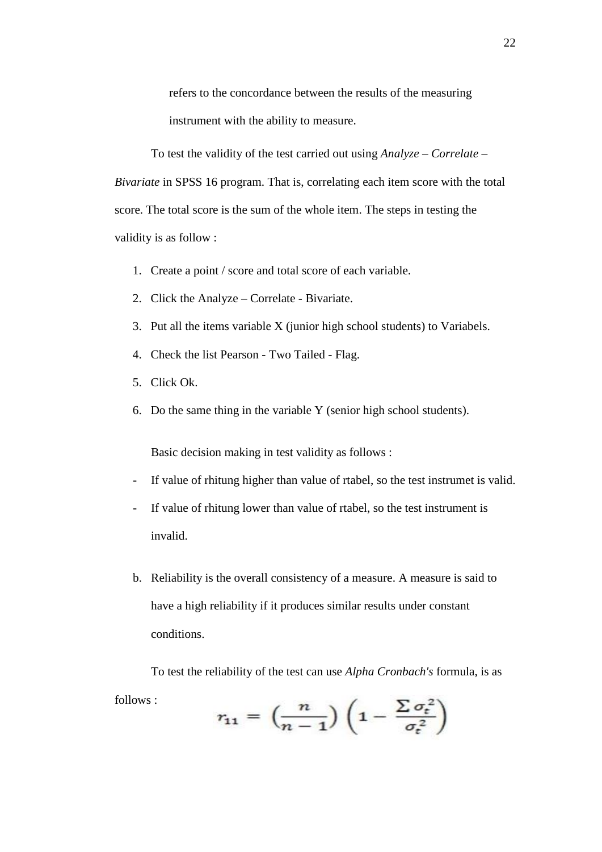refers to the concordance between the results of the measuring instrument with the ability to measure.

To test the validity of the test carried out using *Analyze – Correlate – Bivariate* in SPSS 16 program. That is, correlating each item score with the total score. The total score is the sum of the whole item. The steps in testing the validity is as follow :

- 1. Create a point / score and total score of each variable.
- 2. Click the Analyze Correlate Bivariate.
- 3. Put all the items variable X (junior high school students) to Variabels.
- 4. Check the list Pearson Two Tailed Flag.
- 5. Click Ok.
- 6. Do the same thing in the variable Y (senior high school students).

Basic decision making in test validity as follows :

- If value of rhitung higher than value of rtabel, so the test instrumet is valid.
- If value of rhitung lower than value of rtabel, so the test instrument is invalid.
- b. Reliability is the overall consistency of a measure. A measure is said to have a high reliability if it produces similar results under constant conditions.

To test the reliability of the test can use *Alpha Cronbach's* formula, is as follows : $\sim$ 

$$
r_{11} = \left(\frac{n}{n-1}\right)\left(1 - \frac{\sum \sigma_t^2}{\sigma_t^2}\right)
$$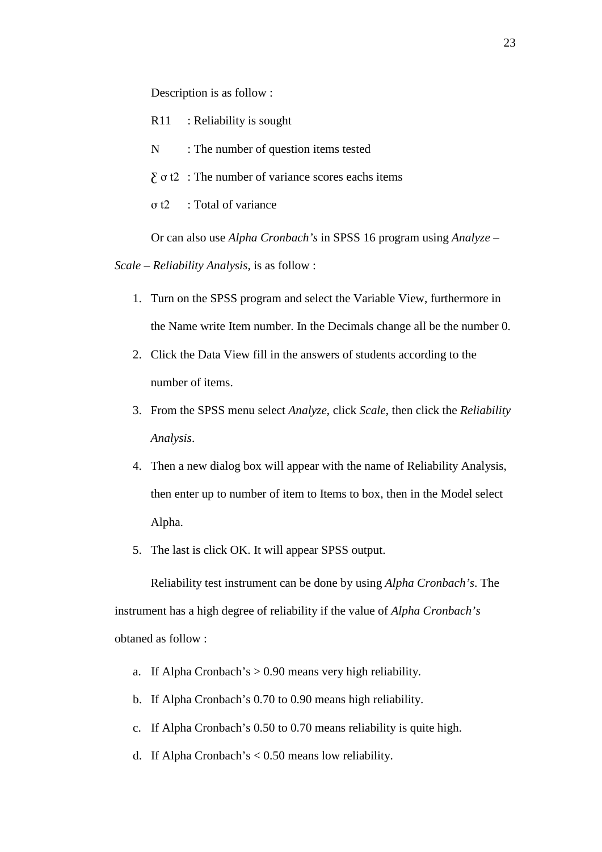Description is as follow :

- R11 : Reliability is sought
- N : The number of question items tested
- $\sum$  o t2 : The number of variance scores eachs items
- ơ t2 : Total of variance

Or can also use *Alpha Cronbach's* in SPSS 16 program using *Analyze –*

*Scale – Reliability Analysis*, is as follow :

- 1. Turn on the SPSS program and select the Variable View, furthermore in the Name write Item number. In the Decimals change all be the number 0.
- 2. Click the Data View fill in the answers of students according to the number of items.
- 3. From the SPSS menu select *Analyze*, click *Scale*, then click the *Reliability Analysis*.
- 4. Then a new dialog box will appear with the name of Reliability Analysis, then enter up to number of item to Items to box, then in the Model select Alpha.
- 5. The last is click OK. It will appear SPSS output.

Reliability test instrument can be done by using *Alpha Cronbach's*. The instrument has a high degree of reliability if the value of *Alpha Cronbach's* obtaned as follow :

- a. If Alpha Cronbach's  $> 0.90$  means very high reliability.
- b. If Alpha Cronbach's 0.70 to 0.90 means high reliability.
- c. If Alpha Cronbach's 0.50 to 0.70 means reliability is quite high.
- d. If Alpha Cronbach's < 0.50 means low reliability.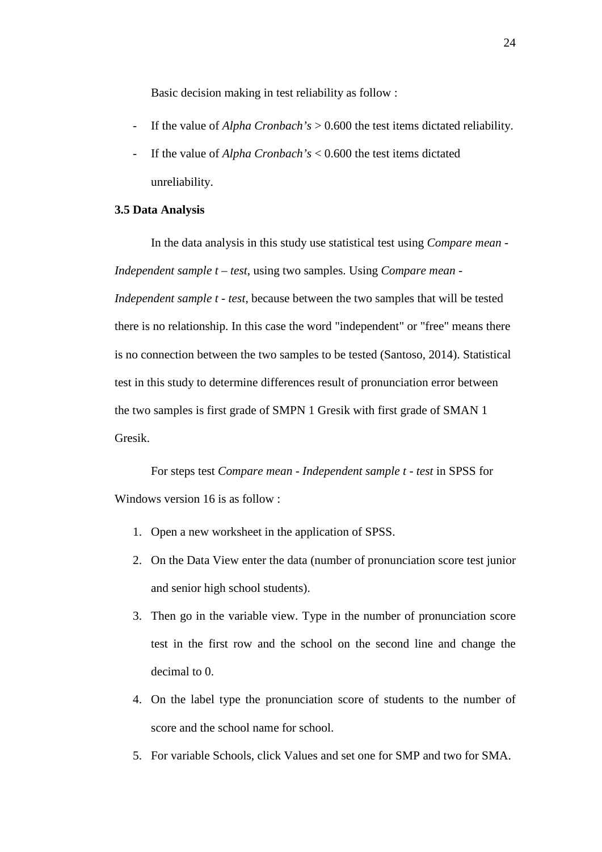Basic decision making in test reliability as follow :

- If the value of *Alpha Cronbach's* > 0.600 the test items dictated reliability.
- If the value of *Alpha Cronbach's* < 0.600 the test items dictated unreliability.

### **3.5 Data Analysis**

In the data analysis in this study use statistical test using *Compare mean - Independent sample t – test*, using two samples. Using *Compare mean - Independent sample t - test*, because between the two samples that will be tested there is no relationship. In this case the word "independent" or "free" means there is no connection between the two samples to be tested (Santoso, 2014). Statistical test in this study to determine differences result of pronunciation error between the two samples is first grade of SMPN 1 Gresik with first grade of SMAN 1 Gresik.

For steps test *Compare mean - Independent sample t - test* in SPSS for Windows version 16 is as follow :

- 1. Open a new worksheet in the application of SPSS.
- 2. On the Data View enter the data (number of pronunciation score test junior and senior high school students).
- 3. Then go in the variable view. Type in the number of pronunciation score test in the first row and the school on the second line and change the decimal to 0.
- 4. On the label type the pronunciation score of students to the number of score and the school name for school.
- 5. For variable Schools, click Values and set one for SMP and two for SMA.